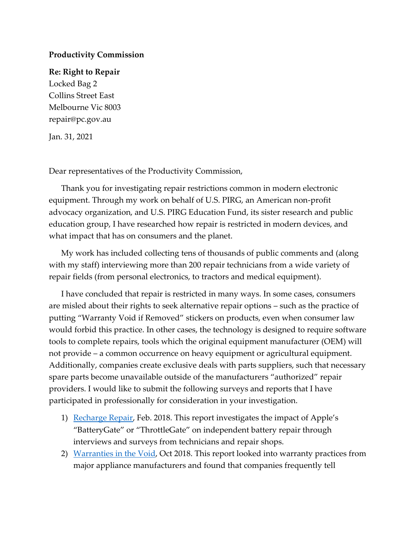## **Productivity Commission**

## **Re: Right to Repair**

Locked Bag 2 Collins Street East Melbourne Vic 8003 repair@pc.gov.au

Jan. 31, 2021

Dear representatives of the Productivity Commission,

Thank you for investigating repair restrictions common in modern electronic equipment. Through my work on behalf of U.S. PIRG, an American non-profit advocacy organization, and U.S. PIRG Education Fund, its sister research and public education group, I have researched how repair is restricted in modern devices, and what impact that has on consumers and the planet.

My work has included collecting tens of thousands of public comments and (along with my staff) interviewing more than 200 repair technicians from a wide variety of repair fields (from personal electronics, to tractors and medical equipment).

I have concluded that repair is restricted in many ways. In some cases, consumers are misled about their rights to seek alternative repair options – such as the practice of putting "Warranty Void if Removed" stickers on products, even when consumer law would forbid this practice. In other cases, the technology is designed to require software tools to complete repairs, tools which the original equipment manufacturer (OEM) will not provide – a common occurrence on heavy equipment or agricultural equipment. Additionally, companies create exclusive deals with parts suppliers, such that necessary spare parts become unavailable outside of the manufacturers "authorized" repair providers. I would like to submit the following surveys and reports that I have participated in professionally for consideration in your investigation.

- 1) [Recharge Repair,](https://uspirg.org/sites/pirg/files/reports/CAP_Recharge_Repair_Feb1_2018.pdf) Feb. 2018. This report investigates the impact of Apple's "BatteryGate" or "ThrottleGate" on independent battery repair through interviews and surveys from technicians and repair shops.
- 2) [Warranties in the Void,](https://uspirg.org/sites/pirg/files/reports/Warranties%20in%20the%20Void%20-%20U.S.%20PIRG%20Education%20Fund%20-%20Oct2018.pdf) Oct 2018. This report looked into warranty practices from major appliance manufacturers and found that companies frequently tell